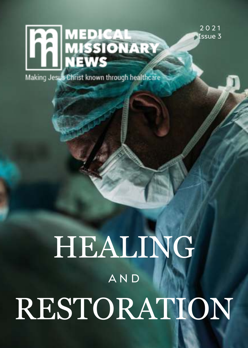2 0 2 1 **Issue 3** 

# **THE MEDICAL WEDICAL**

Making Jesus Christ known through healthcare

# HEALING RESTORATION A N D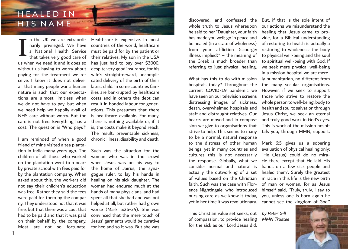## H E A L E D IN **HIS NAME**

narily privileged. We have a National Health Service that takes very good care of us when we need it and it does so without us having to worry about paying for the treatment we receive. I know it does not deliver all that many people want: human nature is such that our expectations are almost limitless when we do not have to pay, but when we need help we happily avail of NHS care without worry. But the care is not free. Everything has a cost. The question is 'Who pays?' I

friend of mine visited a tea plantation in India many years ago. The children of all those who worked on the plantation went to a nearby private school with fees paid for by the plantation company. When asked about this, the workers did not say their children's education was free. Rather they said the fees were paid for them by the company. They understood not that it was free, but that there was a cost that had to be paid and that it was paid on their behalf by the company. Most are not so fortunate.

**1**

n the UK we are extraordi-Healthcare is expensive. In most I am reminded of when a good chronic illness, disability and death. countries of the world, healthcare must be paid for by the patient or their relatives. My son in the USA has just had to pay over \$3000, despite very good insurance, for his wife's straightforward, uncomplicated delivery of the birth of their latest child. In some countries families are bankrupted by healthcare costs and in others the debt can result in bonded labour for generations. This presumes that there is healthcare available. For many, there is nothing available or, if it is, the costs make it beyond reach. The result: preventable sickness,

> Such was the situation for the woman who was in the crowd when Jesus was on his way to the home of Jairus, the synagogue ruler, to lay his hands in healing on his sick daughter. The woman had endured much at the hands of many physicians, and had spent all that she had and was not helped at all, but rather had grown worse (Mark 5:26-34). She was convinced that the mere touch of Jesus' garments would be curative for her, and so it was. But she was

whole truth to Jesus whereupon he said to her "Daughter, your faith has made you well; go in peace and be healed (in a state of wholeness) from your affliction (scourge: illness implied)" – the meaning of the Greek is much broader than referring to just physical healing.

What has this to do with mission hospitals today? Throughout the current COVID-19 pandemic we have seen on our television screens distressing images of sickness, death, overwhelmed hospitals and staff and distraught relatives. Our hearts are moved and in compassion we give to organisations that strive to help. This seems to many to be a normal, natural response to the distress of other human beings, yet in many countries and cultures this is not necessarily the response. Globally, what we consider normal and natural is actually the outworking of a set of values based on the Christian faith. Such was the case with Florence Nightingale, who introduced nursing care as we know it today, yet in her time it was revolutionary.

This Christian value set seeks, out by Peter Gill of compassion, to provide healing for the sick as our Lord Jesus did.

discovered, and confessed the But, if that is the sole intent of our actions we misunderstand the healing that Jesus came to provide, for a Biblical understanding of restoring to health is actually a restoring to wholeness: the body to physical well-being and the soul to spiritual well-being with God. If we seek mere physical well-being in a mission hospital we are merely humanitarian, no different from the many secular organisations. However, if we seek to support those who strive to restore the whole person to well-being: body to health and soul to salvation through Jesus Christ, we seek an eternal and truly good work in God's eyes. This is work of the mission hospitals you, through MMN, support.

> Mark 6:5 gives us a sobering evaluation of physical healing only: "He (Jesus) could do no miracle there except that He laid His hands on a few sick people and healed them". Surely the greatest miracle in this life is the new birth of man or woman, for as Jesus himself said, "Truly, truly, I say to you, unless one is born again he cannot see the kingdom of God."

MMN Trustee

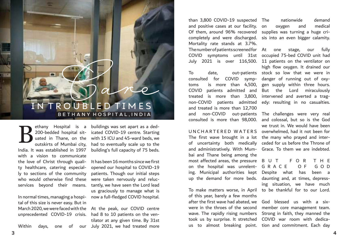# Care IN TROUBLED TIMES **B E T H A N Y H O S P I T A L , I N D I A**

ethany Hospital is a 200-bedded hospital situated in Thane, on the outskirts of Mumbai city, India. It was established in 1997 with a vision to communicate the love of Christ through quality healthcare, catering especially to sections of the community who would otherwise find these services beyond their means. B

In normal times, managing a hospital of this size is never easy. But in March 2020, we were faced with the At the peak, our COVID centre unprecedented COVID-19 crisis.

Within days, one of our

buildings was set apart as a dedicated COVID-19 centre. Starting with 15 ICU and 45-ward beds, we had to eventually scale up to the building's full capacity of 75 beds.

It has been 16 months since we first opened our hospital to COVID-19 patients. Though our initial steps were taken nervously and reluctantly, we have seen the Lord lead us graciously to manage what is now a full-fledged COVID hospital.

had 8 to 10 patients on the ventilator at any given time. By 31st July 2021, we had treated more

than 3,800 COVID-19 suspected and positive cases at our facility. on Of them, around 96% recovered supplies was turning a huge cricompletely and were discharged. sis into an even bigger calamity. Mortality rate stands at 3.7%. The number of patients screened for At one stage, our fully

To date, out-patients stock so low that we were in consulted for COVID symp-danger of running out of oxytoms is more than 4,500, gen supply within three hours. COVID patients admitted and But the Lord miraculously treated is more than 3,800, intervened and averted a tragnon-COVID patients admitted edy: resulting in no casualties. and treated is more than 12,700 and non-COVID out-patients The challenges were very real

The first wave brought in a lot the many who prayed and interof uncertainty both medically ceded for us before the Throne of and administratively. With Mum-Grace. To them we are indebted. bai and Thane being among the most affected areas, the pressure B U T F O R T H E on the hospital was unrelent-G R A C E O F G O D ing. Municipal authorities kept Despite what has been a

To make matters worse, in April to be thankful for to our Lord. of this year, barely a few months after the first wave had abated, we were in the throes of the second wave. The rapidly rising numbers took us by surprise. It stretched COVID war room with dedica-

nationwide demand oxygen and medical

COVID symptoms until 31st occupied 75-bed COVID unit had July 2021 is over 116,500. 11 patients on the ventilator on high flow oxygen. It drained our

consulted is more than 98,000. and colossal, but so is the God U N C H A R T E R E D W A T E R S overwhelmed, had it not been for we trust in. We would have been

up the demand for more beds. daunting and, at times, depressing situation, we have much

us to almost breaking point. tion and commitment. Each day God blessed us with a sixmember core management team. Strong in faith, they manned the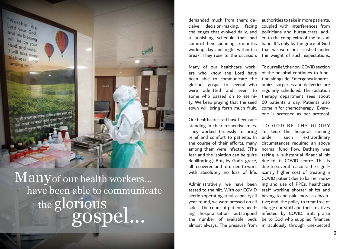

 $\mathbf{Many}$  of our health workers... the  ${\bf g}$ lorious have been able to communicate gospel...

demanded much from them: decisive decision-making, facing coupled with interferences from challenges that evolved daily, and a punishing schedule that had some of them spending six months hand. It's only by the grace of God working day and night without a that we were not crushed under break. They rose to the occasion.

ers who know the Lord have of the hospital continues to funcbeen able to communicate the tion alongside. Emergency laparotglorious gospel to several who omies, surgeries and deliveries are were admitted and even to regularly scheduled. The radiation some who passed on to eterni-therapy department sees about ty. We keep praying that the seed sown will bring forth much fruit.

Our healthcare staff have been outstanding in their respective roles. TO GOD BE THE GLORY They worked tirelessly to bring relief and comfort to patients. In the course of their efforts, many among them were infected. (The normal fund flow. Bethany was fear and the isolation can be quite taking a substantial financial hit debilitating.) But, by God's grace, all recovered and returned to work

tested to the hilt. With our COVID section operating at full capacity all year round, we were pressed on all sides. The count of patients needing hospitalisation outstripped the number of available beds be to God who supplied finances

authorities to take in more patients, politicians and bureaucrats, added to the complexity of the task at the weight of such expectations.

Many of our healthcare work- Toour relief, the non-COVID section 60 patients a day. Patients also come in for chemotherapy. Everyone is screened as per protocol.

with absolutely no loss of life. icantly higher cost of treating a Administratively, we have been ing and use of PPEs; healthcare almost always. The pressure from miraculously through unexpected To keep the hospital running such extraordinary circumstances required an above due to its COVID centre. This is due to several reasons: the signif-COVID patient due to barrier nursstaff working shorter shifts and having to be paid more as incentive; and, the policy to treat free of charge our staff and their relatives infected by COVID. But, praise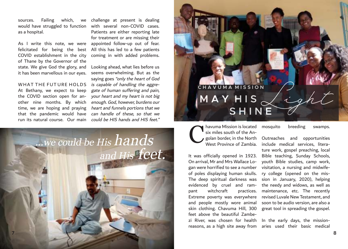sources. Failing which, would have struggled to function as a hospital.

As I write this note, we were appointed follow-up out of fear. felicitated for being the best All this has led to a few patients COVID establishment in the city of Thane by the Governor of the state. We give God the glory, and it has been marvellous in our eyes.

WHAT THE FUT URE HOLDS At Bethany, we expect to keep the COVID section open for another nine months. By which time, we are hoping and praying that the pandemic would have run its natural course. Our main

we challenge at present is dealing with several non-COVID cases. Patients are either reporting late for treatment or are missing their coming in with added problems.

> Looking ahead, what lies before us seems overwhelming. But as the saying goes "only the heart of God is capable of handling the aggregate of human suffering and pain, your heart and my heart is not big enough. God, however, burdens our heart and funnels portions that we can handle of these, so that we could be HIS hands and HIS feet."



# $MAYHIS \swarrow igh$  **S H I N E C H A V U M A M I S S I O N**

havuma Mission is located six miles south of the Angolan border, in the North West Province of Zambia. C

It was officially opened in 1923. On arrival, Mr and Mrs Wallace Logan were horrified to see a number of poles displaying human skulls. The deep spiritual darkness was evidenced by cruel and rampant witchcraft practices. Extreme poverty was everywhere and people mostly wore animal skin clothing. Chavuma Hill, 300 feet above the beautiful Zambezi River, was chosen for health reasons, as a high site away from

mosquito breeding swamps.

Outreaches and opportunities include medical services, literature work, gospel preaching, local Bible teaching, Sunday Schools, youth Bible studies, camp work, visitation, a nursing and midwifery college (opened on the mission in January, 2020), helping the needy and widows, as well as maintenance, etc. The recently revised Luvale New Testament, and soon to be audio version, are also a great tool in spreading the gospel.

In the early days, the missionaries used their basic medical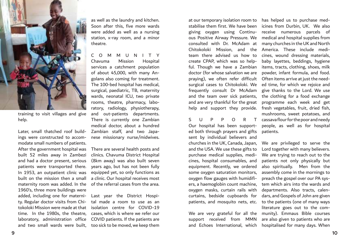

training to visit villages and give help.

Later, small thatched roof buildings were constructed to accommodate small numbers of patients. After the government hospital was There are several health posts and built 52 miles away in Zambezi and had a doctor present, serious patients were transported there. In 1953, an outpatient clinic was built on the mission then a small maternity room was added. In the 1960's, three more buildings were added, including one for materni-Last year the District Hospity. Regular doctor visits from Chitokoloki Mission were made at that isolation centre for COVID-19 time. In the 1980s, the theatre, cases, which is where we refer our laboratory, administration office COVID patients. If the patients are and two small wards were built, too sick to be moved, we keep them

as well as the laundry and kitchen. Soon after this, five more wards were added as well as a nursing station, x-ray room, and a minor theatre.

C O M M U N I T Y Chavuma Mission Hospital services a catchment population of about 45,000, with many Angolans also coming for treatment. The 100-bed hospital has medical, surgical, paediatric, TB, maternity wards, neonatal ICU, two private rooms, theatre, pharmacy, laboratory, radiology, physiotherapy, and out-patients departments. There is currently one Zambian medical doctor, about a hundred Zambian staff, and two Japanese missionary nurse/midwives.

clinics. Chavuma District Hospital (8km away) was also built seven years ago, but has not been fully equipped yet, so only functions as a clinic. Our hospital receives most of the referral cases from the area.

tal made a room to use as an

at our temporary isolation room to has helped us to purchase medgiving oxygen using Continuous Positive Airway Pressure. We Chitokoloki Mission, and the America. These include mediteam there advised us how to create CPAP, which was so helpful. Though we have a Zambian doctor (for whose salvation we are praying), we often refer difficult surgical cases to Chitokoloki. We frequently consult Dr McAdam and the team over sick patients, and are very thankful for the great help and support they provide.

S U P P O R T Our hospital has been supported both through prayers and gifts sent by individual believers and churches in the UK, Canada, Japan, and the USA. We use these gifts to purchase medical supplies, medicines, hospital consumables, and equipment. Recently, we ordered some oxygen saturation monitors, oxygen flow gauges with humidifiers, a haemoglobin count machine, oxygen masks, curtain rails with curtains, bedside cupboards for patients, and mosquito nets, etc.

support received from MMN

stabilise them first. We have been icines from Durbin, UK. We also consulted with Dr. McAdam at many churches in the UK and North receive numerous parcels of medical and hospital supplies from cines, wound dressing materials, baby layettes, beddings, hygiene items, tracts, clothing, shoes, milk powder, infant formula, and food. Often items arrive at just the needed time, for which we rejoice and give thanks to the Lord. We use the clothing for a food exchange programme each week and get fresh vegetables, fruit, dried fish, mushrooms, sweet potatoes, and cassava flour for the poor and needy people, as well as for hospital patients.

We are very grateful for all the munity). Emmaus Bible courses and Echoes International, which hospitalised for many days. When We are privileged to serve the Lord together with many believers. We are trying to reach out to the patients not only physically but also spiritually. Men from the assembly come in the mornings to preach the gospel over our PA system which airs into the wards and departments. Also tracts, calendars, and Gospels of John are given to the patients (one of many ways literature goes out to the comare also given to patients who are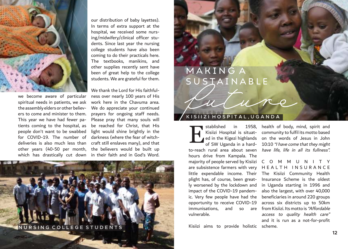

our distribution of baby layettes). In terms of extra support at the hospital, we received some nursing/midwifery/clinical officer students. Since last year the nursing college students have also been coming to do their practicals here. The textbooks, manikins, and other supplies recently sent have been of great help to the college students. We are grateful for them.

we become aware of particular spiritual needs in patients, we ask the assembly elders or other believers to come and minister to them. This year we have had fewer patients coming to the hospital, as people don't want to be swabbed for COVID-19. The number of darkness (where the fear of witch-

deliveries is also much less than craft still enslaves many), and that other years (40-50 per month, the believers would be built up which has drastically cut down in their faith and in God's Word. We thank the Lord for His faithfulness over nearly 100 years of His work here in the Chavuma area. We do appreciate your continued prayers for ongoing staff needs. Please pray that many souls will be reached for Christ, that His light would shine brightly in the



# **MAKINGA** SUSTAINABLI

#### **K I S I I Z I H O S P I T A L , U G A N D A**

stablished in to-reach rural area about seven have life, life in all its fullness". hours drive from Kampala. The are subsistence farmers with very H E A L T H I N S U R A N C E plight has, of course, been greatimpact of the COVID-19 pandemic. Very few people have had the opportunity to receive COVID-19 vulnerable. E

Kisiizi aims to provide holistic scheme.

Kisiizi Hospital is situat-community to fulfil its motto based ed in the Kigezi highlands on the words of Jesus in John of SW Uganda in a hard- 10:10 *"I have come that they might* 1958, health of body, mind, spirit and

majority of people served by Kisiizi C O M M U N I T Y little expendable income. Their The Kisiizi Community Health ly worsened by the lockdown and in Uganda starting in 1996 and immunisations, and so are from Kisiizi. Its motto is*"Affordable* Insurance Scheme is the oldest also the largest, with over 40,000 beneficiaries in around 220 groups across six districts up to 50km access to quality health care" and it is run as a not-for-profit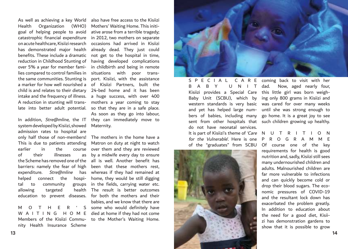Health Organization (WHO) Mothers' Waiting Home. This initigoal of helping people to avoid lies compared to control families in situations with poor trans-

system developed by Kisiizi, showed admission rates to hospital are of their illnesses helped connect the hospital to community allowing targeted

M O T H E R Members of the Kisiizi Commu-to the Mother's Waiting Home. nity Health Insurance Scheme

As well as achieving a key World also have free access to the Kisiizi catastrophic financial expenditure in 2012, two mothers on separate on acute healthcare, Kisiizi research occasions had arrived in Kisiizi has demonstrated major health already dead. They just could benefits. These include a dramatic not get to the hospital in time, reduction in Childhood Stunting of having developed complications over 5% a year for member fami-in childbirth and being in remote the same communities. Stunting is port. Kisiizi, with the assistance a marker for how well nourished a of Kisiizi Partners, built the child is and relates to their dietary 24-bed home and it has been intake and the frequency of illness. a huge success, with over 400 A reduction in stunting will trans-mothers a year coming to stay late into better adult potential. so that they are in a safe place. In addition, Stre@mline, the IT they can immediately move to ative arose from a terrible tragedy; As soon as they go into labour, Maternity.

only half those of non-members! The mothers in the home have a This is due to patients attending Matron on duty at night to watch earlier in the course over them and they are reviewed the Scheme has removed one of the all is well. Another benefit has barriers: namely the fear of high been that these mothers rest, expenditure. Stre@mline has whereas if they had remained at education to prevent diseases. for both the mothers and their W A I T I N G H O M E died at home if they had not come by a midwife every day to ensure home, they would be still digging groups in the fields, carrying water etc. health The result is better outcomes babies, and we know that there are ' S some who would definitely have



B A B Y U N I T dad. do not have neonatal services. for the Vulnerable'. Here is one P R O G R A M M E



S P E C I A L C A R E coming back to visit with her Kisiizi provides a Special Care this little girl was born weigh-Baby Unit (SCBU), which by ing only 800 grams in Kisiizi and western standards is very basic was cared for over many weeks and yet has helped large num-until she was strong enough to bers of babies, including many go home. It is a great joy to see sent from other hospitals that such children growing up healthy. Now, aged nearly four,

# It is part of Kisiizi's theme of 'Care N U T R I T I O N

of the "graduates" from SCBU Of course one of the key requirements for health is good nutrition and, sadly, Kisiizi still sees many undernourished children and adults. Malnourished children are far more vulnerable to infections and can quickly become cold or drop their blood sugars. The economic pressures of COVID-19 and the resultant lock down has exacerbated the problem greatly. In addition to education about the need for a good diet, Kisiizi has demonstration gardens to show that it is possible to grow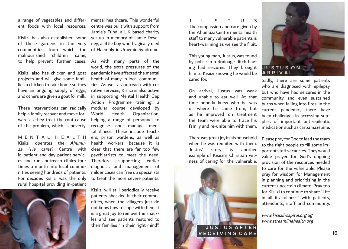ent foods with local resources.

of these gardens in the very malnourished children came,

Kisiizi also has chicken and goat projects and will give some families a chicken to take home so they have an ongoing supply of eggs,

These interventions can radically help a family recover and move forward as they treat the root cause of the problem, which is poverty.

Kisiizi operates the Ahumuza (He cares) Centre with in-patient and day-patient services and runs outreach clinics four times a month into local communities seeing hundreds of patients. For decades Kisiizi was the only rural hospital providing in-patient



a range of vegetables and differ-mental healthcare. This wonderful Kisiizi has also established some set up in memory of Jamie Devacommunities from which the of Haemolytic Uraemic Syndrome. centre was built with support from Jamie's Fund, a UK based charity ney, a little boy who tragically died

to help prevent further cases. As with many parts of the and others are given a goat for milk. in supporting Mental Health Gap M E N T A L H E A L T H ers, prison wardens, as well as world, the extra pressures of the pandemic have affected the mental health of many in local communities. As well as outreach with curative services, Kisiizi is also active Action Programme training, a modular course developed by World Health Organization, helping a range of personnel to recognise and manage mental illness. These include teachhealth workers, because it is clear that there are far too few psychiatrists to meet the need. Therefore, supporting earlier diagnosis and management of milder cases can free up specialists to treat the more severe patients.

> Kisiizi will still periodically receive patients shackled in their communities, when the villagers just do not know how to cope with them. It is a great joy to remove the shackles and see patients restored to their families "in their right mind".

J U S T U S The compassion and care given by the Ahumuza Centre mental health staff to many vulnerable patients is heart-warming as we see the fruit.

This young man, Justus, was found by police in a drainage ditch having had seizures. They brought him to Kisiizi knowing he would be cared for.

On arrival, Justus was weak and unable to eat well. At that time nobody knew who he was or where he came from, but as he improved on treatment the team were able to trace his family and re-unite him with them.

There was great joy in his household when he was reunited with them. Justus' story is another example of Kisiizi's Christian witness of caring for the vulnerable.





Sadly, there are some patients who are diagnosed with epilepsy but who have had seizures in the community and even sustained burns when falling into fires. In the current pandemic, there have been challenges in accessing supplies of important anti-epileptic medication such as carbamazepine.

Please pray for God to lead the team to the right people to fill some important staff vacancies. They would value prayer for God's ongoing provision of the resources needed to care for the vulnerable. Please pray for wisdom for Management in planning and prioritising in the current uncertain climate. Pray too for Kisiizi to continue to share "Life in all its fullness" with patients, attendants, staff and community.

www.kisiizihospital.org.ug www.streamlinehealth.org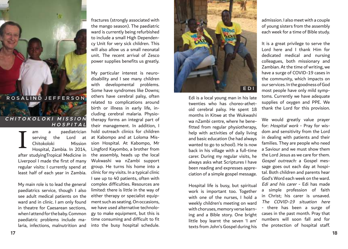

Ŧ

#### **C H I T O K O L O K I M I S S I O N H O S P I T A L**

am a paediatrician serving the Lord at Chitokoloki Mission Hospital, Zambia. In 2014, after studyingTropical Medicine in Liverpool I made the first of many regular visits: I currently spend at least half of each year in Zambia. I

My main role is to lead the general paediatrics service, though I also see adult medical patients on the ward and in clinic. I am only found in theatre for Caesarean sections, when I attend for the baby. Common paediatric problems include malaria, infections, malnutrition and

fractures (strongly associated with the mango season). The paediatric ward is currently being refurbished to include a small High Dependency Unit for very sick children. This will also allow us a small neonatal unit. The recent arrival of Zesco power supplies benefits us greatly.

My particular interest is neurodisability and I see many children with developmental problems. Some have syndromes like Downs; others have cerebral palsy, often related to complications around birth or illness in early life, including cerebral malaria. Physiotherapy forms an integral part of their management. In addition, I hold outreach clinics for children at Kabompo and at Loloma Mission Hospital. At Kabompo, Mr Lingford Kayombo, a brother from the assembly, heads up the local Wukwashi wa nZambi support group. He turns his home into a clinic for my visits. In a typical clinic I see up to 40 patients, often with complex difficulties. Resources are limited: there is little in the way of either therapy or specialist equipment such as seating. On occasions, we have used alternative technology to make equipment, but this is time consuming and difficult to fit into the busy hospital schedule.



Edi is a local young man in his late twenties who has choreo-athetoid cerebral palsy. He spent 18 months in Kitwe at the Wukwashi wa nZambi centre, where he benefitted from regular physiotherapy, help with activities of daily living and basic education (he had always wanted to go to school). He is now back in his village with a full-time carer. During my regular visits, he always asks what Scriptures I have been reading and expresses appreciation of a simple gospel message.

Hospital life is busy, but spiritual work is important too. Together with one of the nurses, I hold a weekly children's meeting on ward with choruses, memory verse learning and a Bible story. One bright little boy learnt the seven 'I am' texts from John's Gospel during his admission. I also meet with a couple of young sisters from the assembly each week for a time of Bible study.

It is a great privilege to serve the Lord here and I thank Him for dedicated medical and nursing colleagues, both missionary and Zambian. At the time of writing, we have a surge of COVID-19 cases in the community, which impacts on our services. In the goodness of God most people have only mild symptoms. Currently we have adequate supplies of oxygen and PPE. We thank the Lord for this provision.

We would greatly value prayer for: Hospital work - Pray for wisdom and sensitivity from the Lord in dealing with patients and their families. They are people who need a Saviour and we must show them the Lord Jesus as we care for them. Gospel outreach: a Gospel message goes out each day at hospital. Both children and parents hear God's Word each week on the ward. Edi and his carer - Edi has made a simple profession of faith in Christ; his carer is unsaved. The COVID-19 situation here - there has been a surge of cases in the past month. Pray that numbers will soon fall and for the protection of hospital staff.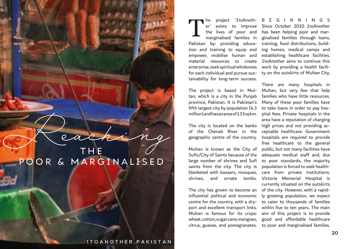Reaching P O O R & M A R G I N A L I S E D

**1 T O A N O T H E R , P A K I S T A N** 

Pakistan by: providing education and training to equip and empower, mobilise human and material resources to create enterprise, seek spiritual wholeness for each individual and pursue sustainability for long-term success. T

The project is based in Multan, which is a city in the Punjab province, Pakistan. It is Pakistan's fifth largest city by population (4.3 million) and has an area of 133 sq km.

The city is located on the banks high prices and not providing acof the Chenab River in the geographic centre of the country.

Sufis/City of Saints because of the large number of shrines and Sufi saints from the city. The city is blanketed with bazaars, mosques, shrines, and ornate tombs.

The city has grown to become an influential political and economic centre for the country, with a dryport and excellent transport links. Multan is famous for its crops: wheat, cotton, sugar cane, mangoes, citrus, guavas, and pomegranates.

he project '1toAnoth-BEGINNINGS er' exists to improve Since October 2010 1toAnother the lives of poor and has been helping poor and marmarginalised families in ginalised families through loans, training, food distributions, building homes, medical camps and establishing healthcare facilities. 1toAnother aims to continue this work by providing a health facility on the outskirts of Multan City.

Multan is known as the City of public, but not many facilities have There are many hospitals in Multan, but very few that help families who have little resources. Many of these poor families have to take loans in order to pay hospital fees. Private hospitals in the area have a reputation of charging ceptable healthcare. Government hospitals are required to provide free healthcare to the general adequate medical staff and, due to poor standards, the majority population is forced to seek healthcare from private institutions. Victoria Memorial Hospital is currently situated on the outskirts of the city. However, with a rapidly growing population, we expect to cater to thousands of families within five to ten years. The main aim of this project is to provide good and affordable healthcare to poor and marginalised families.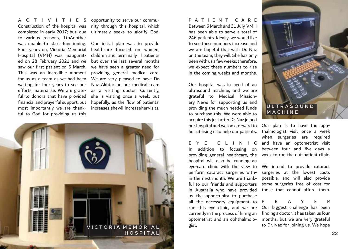A C T I V I T I E S Construction of the hospital was completed in early 2017; but, due to various reasons, 1toAnother was unable to start functioning. Four years on, Victoria Memorial Hospital (VMH) was inaugurated on 28 February 2021 and we saw our first patient on 6 March. This was an incredible moment for us as a team as we had been waiting for four years to see our efforts materialise. We are grateful to donors that have provided financial and prayerful support, but most importantly we are thankful to God for providing us this

opportunity to serve our community through this hospital, which ultimately seeks to glorify God.

Our initial plan was to provide healthcare focused on women, children and terminally ill patients but over the last several months we have seen a greater need for providing general medical care. We are very pleased to have Dr. Naz Akhtar on our medical team as a visiting doctor. Currently, she is visiting once a week, but hopefully, as the flow of patients' increases, she will increase her visits.



P A T I E N T C A R E Between 6 March and 31 July VMH has been able to serve a total of 246 patients. Ideally, we would like to see these numbers increase and we are hopeful that with Dr. Naz on the team, they will. She has only been with us a few weeks; therefore, we expect these numbers to rise in the coming weeks and months.

Our hospital was in need of an ultrasound machine, and we are grateful to Medical Missionary News for supporting us and providing the much needed funds to purchase this. We were able to acquire this just after Dr. Naz joined our hospital and we look forward to her utilising it to help our patients.

In addition to focusing on between four and five days a providing general healthcare, the week to run the out-patient clinic. hospital will also be running an eye-care clinic with the view to perform cataract surgeries within the next month. We are thankful to our friends and supporters in Australia who have provided us the opportunity to purchase all the necessary equipment to run this eye clinic, and we are currently in the process of hiring an optometrist and an ophthalmologist.



E Y E C L I N I C and have an optometrist visit Our plan is to have the ophthalmologist visit once a week when surgeries are required

> We intend to provide cataract surgeries at the lowest costs possible, and will also provide some surgeries free of cost for those that cannot afford them.

> PRAYER Our biggest challenge has been finding a doctor. It has taken us four months, but we are very grateful to Dr. Naz for joining us. We hope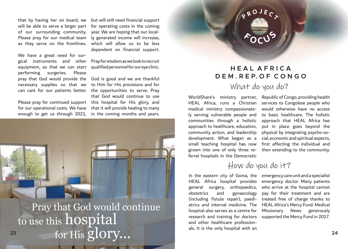of our surrounding community. Please pray for our medical team as they serve on the frontlines.

necessary supplies so that we to Him for His provisions and for can care for our patients better. the opportunities to serve. Pray We have a great need for surgical instruments and other equipment, so that we can start performing surgeries. Please pray that God would provide the

Please pray for continued support this hospital for His glory, and for our operational costs. We have enough to get us through 2021,

that by having her on board, we but will still need financial support will be able to serve a larger part for operating costs in the coming year. We are hoping that our locally generated income will increase, which will allow us to be less dependent on financial support.

> Pray for wisdom as we look to recruit qualified personnel for our eye clinic.

> God is good and we are thankful that God would continue to use that it will provide healing to many in the coming months and years.



Pray that God would continue for His  $\bar{\text{g}}$ lOry... to use this hospital 23 **for Highlands**  $\mathbf{24}$ 

#### **H E A L A F R I C A D E M . R E P. O F C O N G O**

**P <sup>R</sup> <sup>O</sup> <sup>J</sup> <sup>E</sup> <sup>C</sup> <sup>T</sup>**

**<sup>F</sup> <sup>O</sup> <sup>C</sup> <sup>U</sup> <sup>S</sup>**

#### What do you do?

WorldShare's ministry partner, HEAL Africa, runs a Christian medical ministry compassionately serving vulnerable people and communities through a holistic approach that HEAL Africa has approach to healthcare, education, community action, and leadership development. What began as a small teaching hospital has now grown into one of only three referral hospitals in the Democratic

Republic of Congo, providing health services to Congolese people who would otherwise have no access to basic healthcare. The holistic put in place goes beyond the physical by integrating psycho-social, economic and spiritual aspects, first affecting the individual and then extending to the community.

How do you do it?

obstetrics and gynaecology atrics and internal medicine. The HEAL Africa's Mercy Fund. Medical research and training for doctors supported the Mercy Fund in 2017. and other healthcare professionals. It is the only hospital with an

In the eastern city of Goma, the emergency care unit and a specialist HEAL Africa hospital provides emergency doctor. Many patients general surgery, orthopaedics, who arrive at the hospital cannot (including fistula repair), paedi-treated free of charge thanks to hospital also serves as a centre for Missionary News generously pay for their treatment and are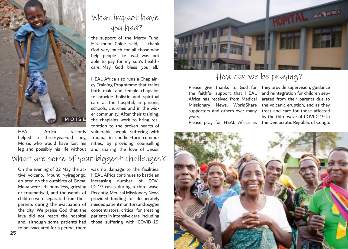

HEAL Africa recently

## What impact have you had?

the support of the Mercy Fund. His mum Chloe said, "I thank God very much for all those who help people like us…I was not able to pay for my son's healthcare…May God bless you all."

helped a three-year-old boy, trauma, in conflict-torn commu-Moise, who would have lost his nities, by providing counselling leg and possibly his life without and sharing the love of Jesus. HEAL Africa also runs a Chaplaincy Training Programme that trains both male and female chaplains to provide holistic and spiritual care at the hospital, in prisons, schools, churches and in the wider community. After their training, the chaplains work to bring restoration to the broken hearts of vulnerable people suffering with

### What are some of your biggest challenges?

On the evening of 22 May the active volcano, Mount Nyiragongo, erupted on the outskirts of Goma. Many were left homeless, grieving or traumatised, and thousands of children were separated from their parents during the evacuation of the city. We praise God that the lava did not reach the hospital and, although some patients had to be evacuated for a period, there

was no damage to the facilities. HEAL Africa continues to battle an increasing number of COV-ID-19 cases during a third wave. Recently, Medical Missionary News provided funding for desperately needed patient monitors and oxygen concentrators, critical for treating patients in intensive care, including those suffering with COVID-19.



### How can we be praying?

Please give thanks to God for they provide supervision, guidance the faithful support that HEAL and reintegration for children sep-Africa has received from Medical arated from their parents due to Missionary News, WorldShare the volcanic eruption, and as they supporters and others over many treat and care for those affected years.

Please pray for HEAL Africa as the Democratic Republic of Congo. by the third wave of COVID-19 in